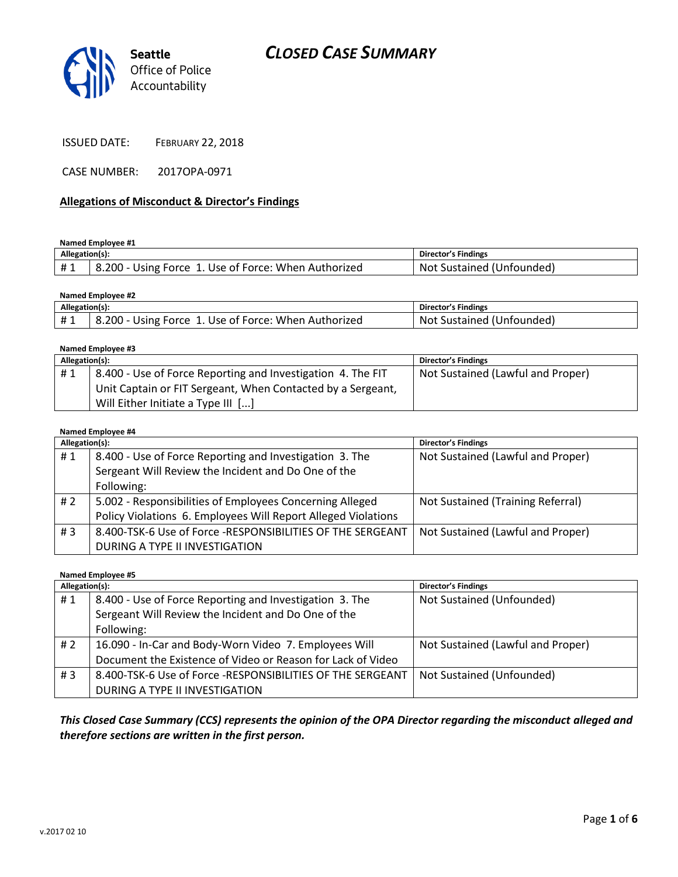



ISSUED DATE: FEBRUARY 22, 2018

CASE NUMBER: 2017OPA-0971

#### **Allegations of Misconduct & Director's Findings**

**Named Employee #1**

| Allegation(s): |                                                            | Director's Findings             |
|----------------|------------------------------------------------------------|---------------------------------|
|                | .200 - Using Force 1. Use of Force: When Authorized<br>- 8 | : Sustained (Unfounded)<br>-Not |

| Named Employee #2 |                                                      |                           |  |
|-------------------|------------------------------------------------------|---------------------------|--|
| Allegation(s):    |                                                      | Director's Findings       |  |
| #1                | 8.200 - Using Force 1. Use of Force: When Authorized | Not Sustained (Unfounded) |  |

| Named Employee #3 |                                                             |                                   |  |
|-------------------|-------------------------------------------------------------|-----------------------------------|--|
| Allegation(s):    |                                                             | <b>Director's Findings</b>        |  |
| #1                | 8.400 - Use of Force Reporting and Investigation 4. The FIT | Not Sustained (Lawful and Proper) |  |
|                   | Unit Captain or FIT Sergeant, When Contacted by a Sergeant, |                                   |  |
|                   | Will Either Initiate a Type III []                          |                                   |  |

#### **Named Employee #4**

| Allegation(s): |                                                               | <b>Director's Findings</b>        |
|----------------|---------------------------------------------------------------|-----------------------------------|
| #1             | 8.400 - Use of Force Reporting and Investigation 3. The       | Not Sustained (Lawful and Proper) |
|                | Sergeant Will Review the Incident and Do One of the           |                                   |
|                | Following:                                                    |                                   |
| # 2            | 5.002 - Responsibilities of Employees Concerning Alleged      | Not Sustained (Training Referral) |
|                | Policy Violations 6. Employees Will Report Alleged Violations |                                   |
| #3             | 8.400-TSK-6 Use of Force -RESPONSIBILITIES OF THE SERGEANT    | Not Sustained (Lawful and Proper) |
|                | DURING A TYPE II INVESTIGATION                                |                                   |

**Named Employee #5**

| Allegation(s): |                                                             | <b>Director's Findings</b>        |
|----------------|-------------------------------------------------------------|-----------------------------------|
| #1             | 8.400 - Use of Force Reporting and Investigation 3. The     | Not Sustained (Unfounded)         |
|                | Sergeant Will Review the Incident and Do One of the         |                                   |
|                | Following:                                                  |                                   |
| # 2            | 16.090 - In-Car and Body-Worn Video 7. Employees Will       | Not Sustained (Lawful and Proper) |
|                | Document the Existence of Video or Reason for Lack of Video |                                   |
| #3             | 8.400-TSK-6 Use of Force -RESPONSIBILITIES OF THE SERGEANT  | Not Sustained (Unfounded)         |
|                | DURING A TYPE II INVESTIGATION                              |                                   |

*This Closed Case Summary (CCS) represents the opinion of the OPA Director regarding the misconduct alleged and therefore sections are written in the first person.*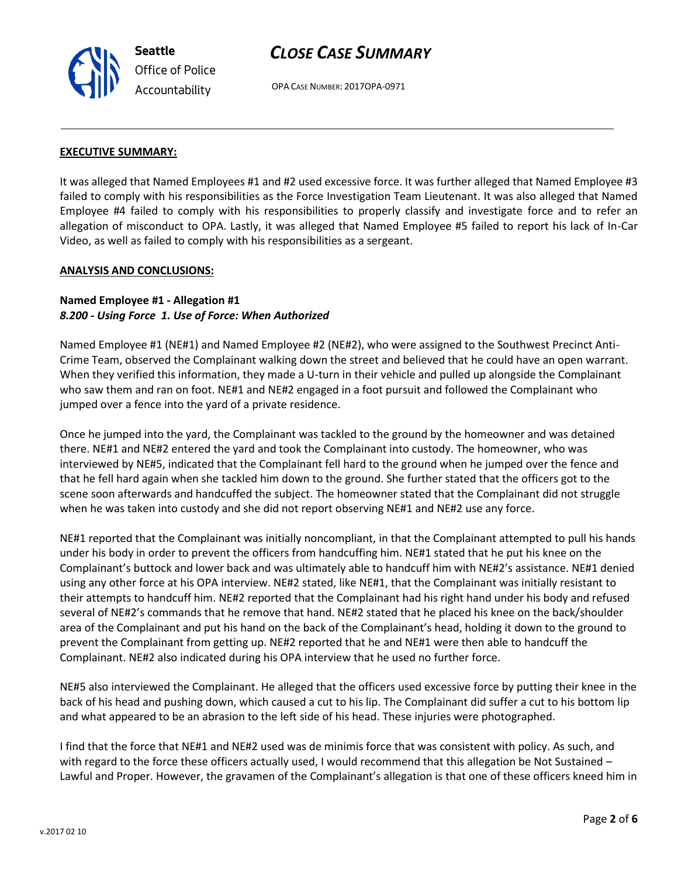v.2017 02 10

# *CLOSE CASE SUMMARY*

OPA CASE NUMBER: 2017OPA-0971

### **EXECUTIVE SUMMARY:**

**Seattle**

*Office of Police Accountability*

It was alleged that Named Employees #1 and #2 used excessive force. It was further alleged that Named Employee #3 failed to comply with his responsibilities as the Force Investigation Team Lieutenant. It was also alleged that Named Employee #4 failed to comply with his responsibilities to properly classify and investigate force and to refer an allegation of misconduct to OPA. Lastly, it was alleged that Named Employee #5 failed to report his lack of In-Car Video, as well as failed to comply with his responsibilities as a sergeant.

#### **ANALYSIS AND CONCLUSIONS:**

### **Named Employee #1 - Allegation #1** *8.200 - Using Force 1. Use of Force: When Authorized*

Named Employee #1 (NE#1) and Named Employee #2 (NE#2), who were assigned to the Southwest Precinct Anti-Crime Team, observed the Complainant walking down the street and believed that he could have an open warrant. When they verified this information, they made a U-turn in their vehicle and pulled up alongside the Complainant who saw them and ran on foot. NE#1 and NE#2 engaged in a foot pursuit and followed the Complainant who jumped over a fence into the yard of a private residence.

Once he jumped into the yard, the Complainant was tackled to the ground by the homeowner and was detained there. NE#1 and NE#2 entered the yard and took the Complainant into custody. The homeowner, who was interviewed by NE#5, indicated that the Complainant fell hard to the ground when he jumped over the fence and that he fell hard again when she tackled him down to the ground. She further stated that the officers got to the scene soon afterwards and handcuffed the subject. The homeowner stated that the Complainant did not struggle when he was taken into custody and she did not report observing NE#1 and NE#2 use any force.

NE#1 reported that the Complainant was initially noncompliant, in that the Complainant attempted to pull his hands under his body in order to prevent the officers from handcuffing him. NE#1 stated that he put his knee on the Complainant's buttock and lower back and was ultimately able to handcuff him with NE#2's assistance. NE#1 denied using any other force at his OPA interview. NE#2 stated, like NE#1, that the Complainant was initially resistant to their attempts to handcuff him. NE#2 reported that the Complainant had his right hand under his body and refused several of NE#2's commands that he remove that hand. NE#2 stated that he placed his knee on the back/shoulder area of the Complainant and put his hand on the back of the Complainant's head, holding it down to the ground to prevent the Complainant from getting up. NE#2 reported that he and NE#1 were then able to handcuff the Complainant. NE#2 also indicated during his OPA interview that he used no further force.

NE#5 also interviewed the Complainant. He alleged that the officers used excessive force by putting their knee in the back of his head and pushing down, which caused a cut to his lip. The Complainant did suffer a cut to his bottom lip and what appeared to be an abrasion to the left side of his head. These injuries were photographed.

I find that the force that NE#1 and NE#2 used was de minimis force that was consistent with policy. As such, and with regard to the force these officers actually used, I would recommend that this allegation be Not Sustained -Lawful and Proper. However, the gravamen of the Complainant's allegation is that one of these officers kneed him in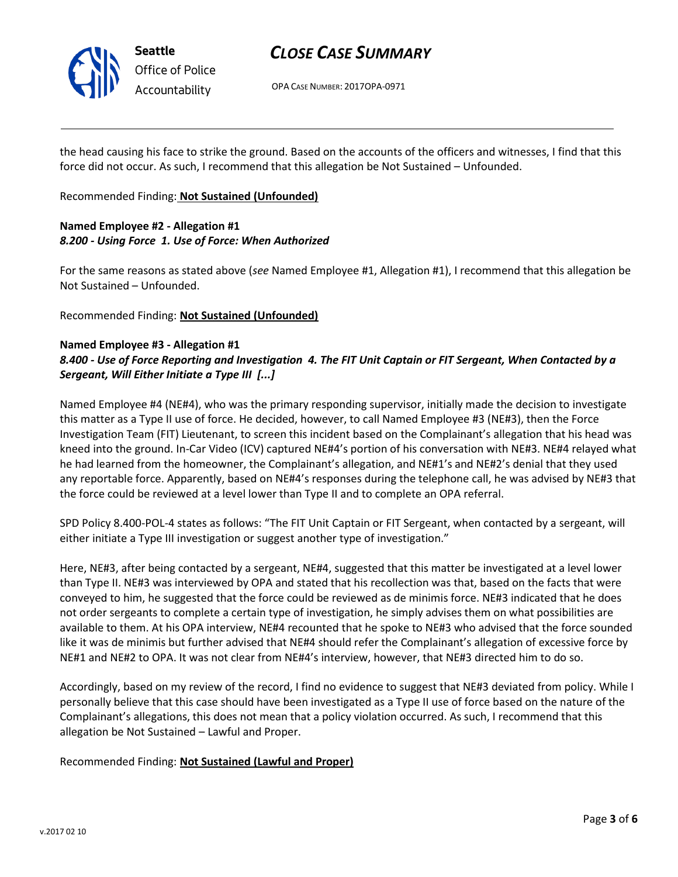

## *CLOSE CASE SUMMARY*

OPA CASE NUMBER: 2017OPA-0971

the head causing his face to strike the ground. Based on the accounts of the officers and witnesses, I find that this force did not occur. As such, I recommend that this allegation be Not Sustained – Unfounded.

Recommended Finding: **Not Sustained (Unfounded)**

## **Named Employee #2 - Allegation #1** *8.200 - Using Force 1. Use of Force: When Authorized*

For the same reasons as stated above (*see* Named Employee #1, Allegation #1), I recommend that this allegation be Not Sustained – Unfounded.

Recommended Finding: **Not Sustained (Unfounded)**

### **Named Employee #3 - Allegation #1**

## *8.400 - Use of Force Reporting and Investigation 4. The FIT Unit Captain or FIT Sergeant, When Contacted by a Sergeant, Will Either Initiate a Type III [...]*

Named Employee #4 (NE#4), who was the primary responding supervisor, initially made the decision to investigate this matter as a Type II use of force. He decided, however, to call Named Employee #3 (NE#3), then the Force Investigation Team (FIT) Lieutenant, to screen this incident based on the Complainant's allegation that his head was kneed into the ground. In-Car Video (ICV) captured NE#4's portion of his conversation with NE#3. NE#4 relayed what he had learned from the homeowner, the Complainant's allegation, and NE#1's and NE#2's denial that they used any reportable force. Apparently, based on NE#4's responses during the telephone call, he was advised by NE#3 that the force could be reviewed at a level lower than Type II and to complete an OPA referral.

SPD Policy 8.400-POL-4 states as follows: "The FIT Unit Captain or FIT Sergeant, when contacted by a sergeant, will either initiate a Type III investigation or suggest another type of investigation."

Here, NE#3, after being contacted by a sergeant, NE#4, suggested that this matter be investigated at a level lower than Type II. NE#3 was interviewed by OPA and stated that his recollection was that, based on the facts that were conveyed to him, he suggested that the force could be reviewed as de minimis force. NE#3 indicated that he does not order sergeants to complete a certain type of investigation, he simply advises them on what possibilities are available to them. At his OPA interview, NE#4 recounted that he spoke to NE#3 who advised that the force sounded like it was de minimis but further advised that NE#4 should refer the Complainant's allegation of excessive force by NE#1 and NE#2 to OPA. It was not clear from NE#4's interview, however, that NE#3 directed him to do so.

Accordingly, based on my review of the record, I find no evidence to suggest that NE#3 deviated from policy. While I personally believe that this case should have been investigated as a Type II use of force based on the nature of the Complainant's allegations, this does not mean that a policy violation occurred. As such, I recommend that this allegation be Not Sustained – Lawful and Proper.

Recommended Finding: **Not Sustained (Lawful and Proper)**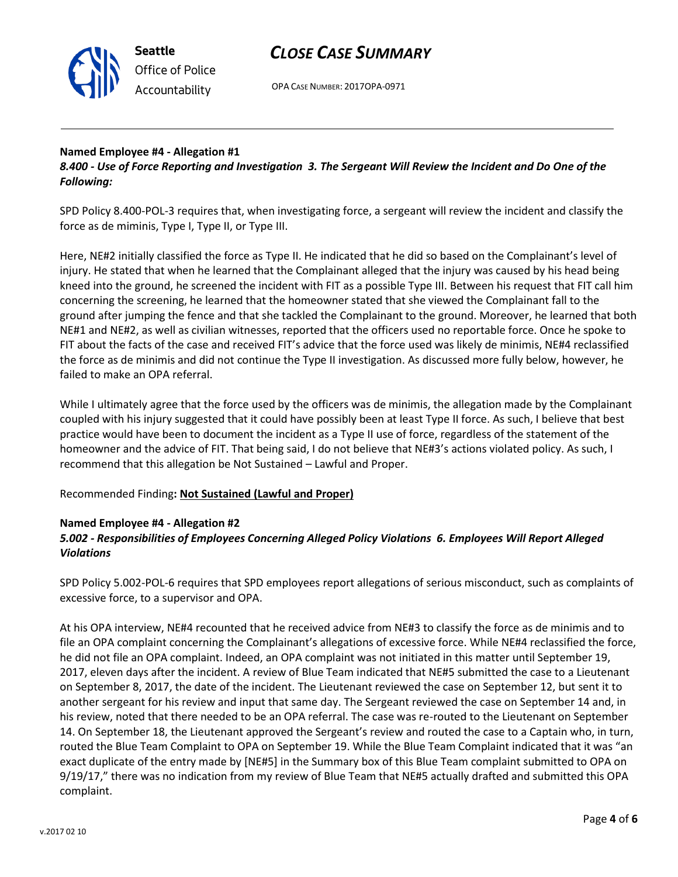

## *CLOSE CASE SUMMARY*

OPA CASE NUMBER: 2017OPA-0971

## **Named Employee #4 - Allegation #1**

*8.400 - Use of Force Reporting and Investigation 3. The Sergeant Will Review the Incident and Do One of the Following:*

SPD Policy 8.400-POL-3 requires that, when investigating force, a sergeant will review the incident and classify the force as de miminis, Type I, Type II, or Type III.

Here, NE#2 initially classified the force as Type II. He indicated that he did so based on the Complainant's level of injury. He stated that when he learned that the Complainant alleged that the injury was caused by his head being kneed into the ground, he screened the incident with FIT as a possible Type III. Between his request that FIT call him concerning the screening, he learned that the homeowner stated that she viewed the Complainant fall to the ground after jumping the fence and that she tackled the Complainant to the ground. Moreover, he learned that both NE#1 and NE#2, as well as civilian witnesses, reported that the officers used no reportable force. Once he spoke to FIT about the facts of the case and received FIT's advice that the force used was likely de minimis, NE#4 reclassified the force as de minimis and did not continue the Type II investigation. As discussed more fully below, however, he failed to make an OPA referral.

While I ultimately agree that the force used by the officers was de minimis, the allegation made by the Complainant coupled with his injury suggested that it could have possibly been at least Type II force. As such, I believe that best practice would have been to document the incident as a Type II use of force, regardless of the statement of the homeowner and the advice of FIT. That being said, I do not believe that NE#3's actions violated policy. As such, I recommend that this allegation be Not Sustained – Lawful and Proper.

### Recommended Finding**: Not Sustained (Lawful and Proper)**

#### **Named Employee #4 - Allegation #2**

### *5.002 - Responsibilities of Employees Concerning Alleged Policy Violations 6. Employees Will Report Alleged Violations*

SPD Policy 5.002-POL-6 requires that SPD employees report allegations of serious misconduct, such as complaints of excessive force, to a supervisor and OPA.

At his OPA interview, NE#4 recounted that he received advice from NE#3 to classify the force as de minimis and to file an OPA complaint concerning the Complainant's allegations of excessive force. While NE#4 reclassified the force, he did not file an OPA complaint. Indeed, an OPA complaint was not initiated in this matter until September 19, 2017, eleven days after the incident. A review of Blue Team indicated that NE#5 submitted the case to a Lieutenant on September 8, 2017, the date of the incident. The Lieutenant reviewed the case on September 12, but sent it to another sergeant for his review and input that same day. The Sergeant reviewed the case on September 14 and, in his review, noted that there needed to be an OPA referral. The case was re-routed to the Lieutenant on September 14. On September 18, the Lieutenant approved the Sergeant's review and routed the case to a Captain who, in turn, routed the Blue Team Complaint to OPA on September 19. While the Blue Team Complaint indicated that it was "an exact duplicate of the entry made by [NE#5] in the Summary box of this Blue Team complaint submitted to OPA on 9/19/17," there was no indication from my review of Blue Team that NE#5 actually drafted and submitted this OPA complaint.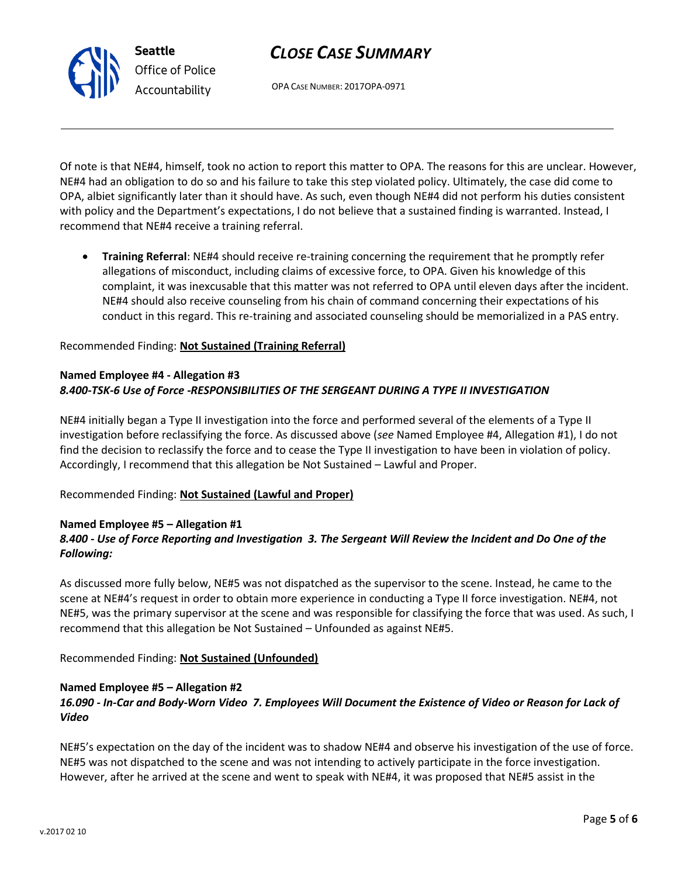## *CLOSE CASE SUMMARY*

OPA CASE NUMBER: 2017OPA-0971

Of note is that NE#4, himself, took no action to report this matter to OPA. The reasons for this are unclear. However, NE#4 had an obligation to do so and his failure to take this step violated policy. Ultimately, the case did come to OPA, albiet significantly later than it should have. As such, even though NE#4 did not perform his duties consistent with policy and the Department's expectations, I do not believe that a sustained finding is warranted. Instead, I recommend that NE#4 receive a training referral.

• **Training Referral**: NE#4 should receive re-training concerning the requirement that he promptly refer allegations of misconduct, including claims of excessive force, to OPA. Given his knowledge of this complaint, it was inexcusable that this matter was not referred to OPA until eleven days after the incident. NE#4 should also receive counseling from his chain of command concerning their expectations of his conduct in this regard. This re-training and associated counseling should be memorialized in a PAS entry.

#### Recommended Finding: **Not Sustained (Training Referral)**

### **Named Employee #4 - Allegation #3** *8.400-TSK-6 Use of Force -RESPONSIBILITIES OF THE SERGEANT DURING A TYPE II INVESTIGATION*

NE#4 initially began a Type II investigation into the force and performed several of the elements of a Type II investigation before reclassifying the force. As discussed above (*see* Named Employee #4, Allegation #1), I do not find the decision to reclassify the force and to cease the Type II investigation to have been in violation of policy. Accordingly, I recommend that this allegation be Not Sustained – Lawful and Proper.

#### Recommended Finding: **Not Sustained (Lawful and Proper)**

### **Named Employee #5 – Allegation #1** *8.400 - Use of Force Reporting and Investigation 3. The Sergeant Will Review the Incident and Do One of the Following:*

As discussed more fully below, NE#5 was not dispatched as the supervisor to the scene. Instead, he came to the scene at NE#4's request in order to obtain more experience in conducting a Type II force investigation. NE#4, not NE#5, was the primary supervisor at the scene and was responsible for classifying the force that was used. As such, I recommend that this allegation be Not Sustained – Unfounded as against NE#5.

#### Recommended Finding: **Not Sustained (Unfounded)**

### **Named Employee #5 – Allegation #2** *16.090 - In-Car and Body-Worn Video 7. Employees Will Document the Existence of Video or Reason for Lack of Video*

NE#5's expectation on the day of the incident was to shadow NE#4 and observe his investigation of the use of force. NE#5 was not dispatched to the scene and was not intending to actively participate in the force investigation. However, after he arrived at the scene and went to speak with NE#4, it was proposed that NE#5 assist in the



**Seattle** *Office of Police Accountability*